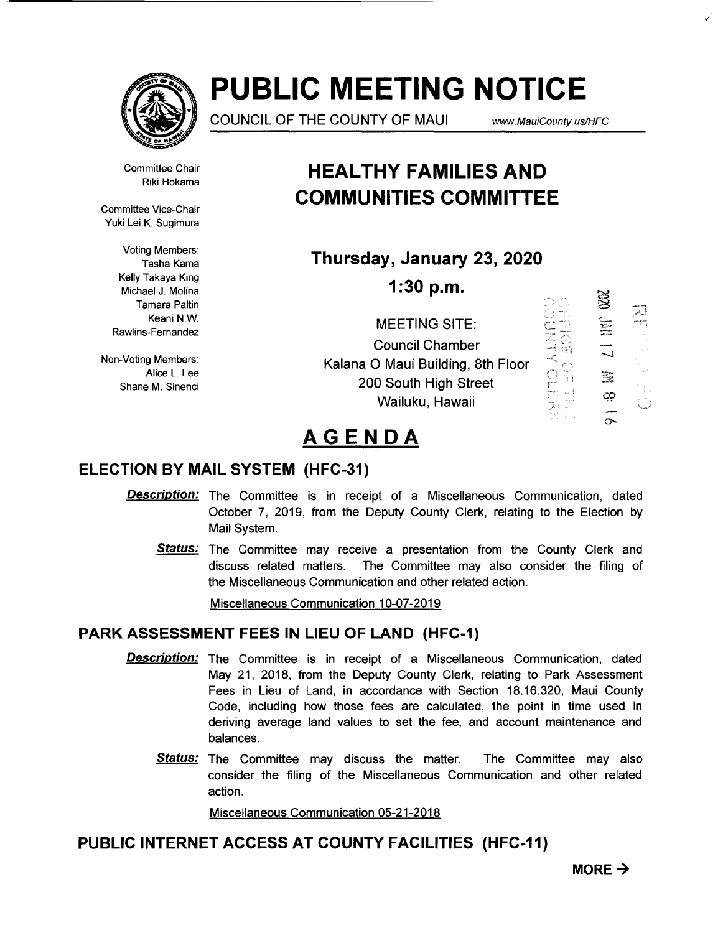

# **PUBLIC MEETING NOTICE**

COUNCIL OF THE COUNTY OF MAUl www. MauiCounty. us/HFC

Committee Chair Riki Hokama

Committee Vice-Chair Yuki Lei K. Sugimura

> Voting Members: Tasha Kama Kelly Takaya King Michael J. Molina Tamara Paltin Keani N.W. Rawlins-Fernandez

Non-Voting Members: Alice L. Lee Shane M. Sinenci

### **HEAL THY FAMILIES AND COMMUNITIES COMMITTEE**

**Thursday, January 23, 2020** 

**1:30 p.m.** 

MEETING SITE: Council Chamber Kalana 0 Maui Building, 8th Floor 200 South High Street Wailuku, Hawaii  $\subset$  "  $\frac{1}{2}$ 



,/

## **AGENDA**

### **ELECTION BY MAIL SYSTEM (HFC-31)**

- **Description:** The Committee is in receipt of a Miscellaneous Communication, dated October 7, 2019, from the Deputy County Clerk, relating to the Election by Mail System.
	- Status: The Committee may receive a presentation from the County Clerk and discuss related matters. The Committee may also consider the filing of the Miscellaneous Communication and other related action.

Miscellaneous Communication 10-07-2019

#### **PARK ASSESSMENT FEES IN LIEU OF LAND (HFC-1)**

- **Description:** The Committee is in receipt of a Miscellaneous Communication, dated May 21, 2018, from the Deputy County Clerk, relating to Park Assessment Fees in Lieu of Land, in accordance with Section 18.16.320, Maui County Code, including how those fees are calculated, the point in time used in deriving average land values to set the fee, and account maintenance and balances.
	- **Status:** The Committee may discuss the matter. The Committee may also consider the filing of the Miscellaneous Communication and other related action.

Miscellaneous Communication 05-21-2018

### **PUBLIC INTERNET ACCESS AT COUNTY FACILITIES (HFC-11)**